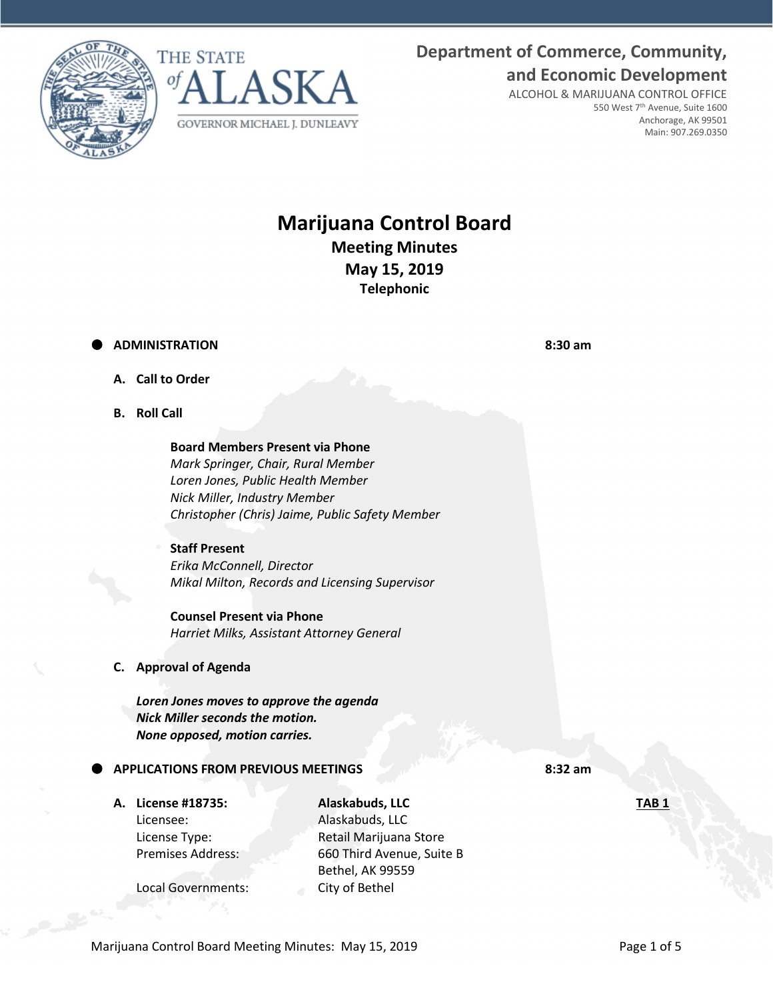



# **Department of Commerce, Community, and Economic Development**

ALCOHOL & MARIJUANA CONTROL OFFICE 550 West 7th Avenue, Suite 1600 Anchorage, AK 99501 Main: 907.269.0350

# **Marijuana Control Board Meeting Minutes May 15, 2019 Telephonic**

# **ADMINISTRATION 8:30 am**

- **A. Call to Order**
- **B. Roll Call**

**Board Members Present via Phone** *Mark Springer, Chair, Rural Member Loren Jones, Public Health Member Nick Miller, Industry Member Christopher (Chris) Jaime, Public Safety Member*

## **Staff Present** *Erika McConnell, Director Mikal Milton, Records and Licensing Supervisor*

**Counsel Present via Phone** *Harriet Milks, Assistant Attorney General*

**C. Approval of Agenda**

*Loren Jones moves to approve the agenda Nick Miller seconds the motion. None opposed, motion carries.* 

# **APPLICATIONS FROM PREVIOUS MEETINGS 8:32 am**

Licensee: Alaskabuds, LLC

**A. License #18735: Alaskabuds, LLC TAB 1** License Type: Retail Marijuana Store Premises Address: 660 Third Avenue, Suite B Bethel, AK 99559

Local Governments: City of Bethel

Marijuana Control Board Meeting Minutes: May 15, 2019 **Page 1 of 5** Page 1 of 5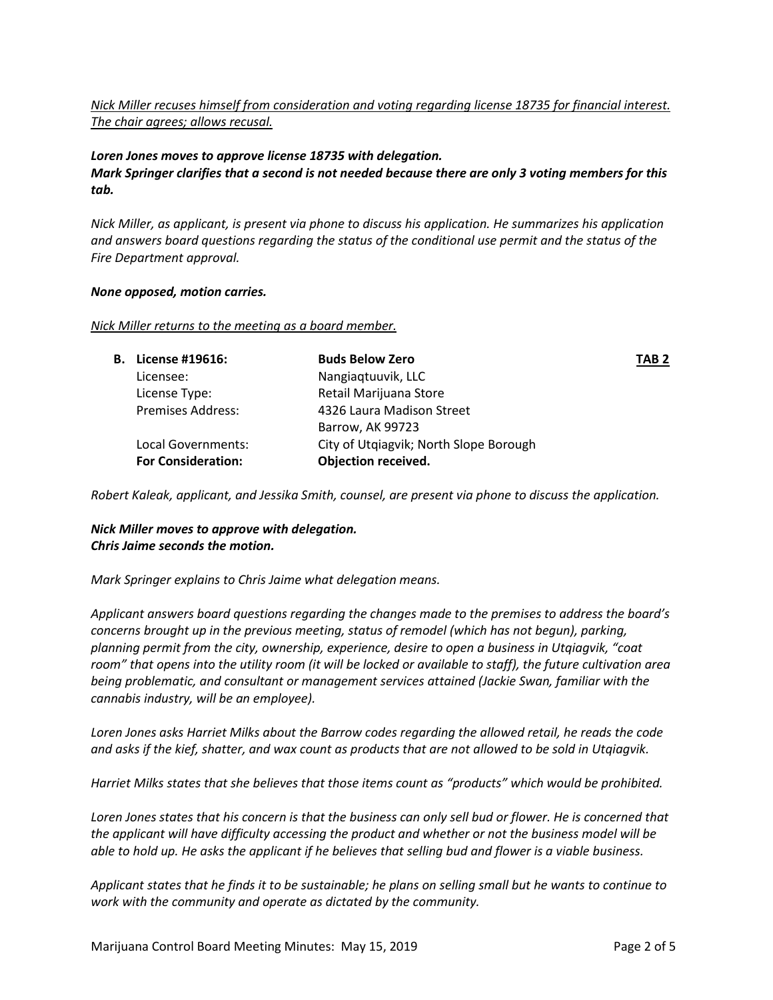# *Nick Miller recuses himself from consideration and voting regarding license 18735 for financial interest. The chair agrees; allows recusal.*

#### *Loren Jones moves to approve license 18735 with delegation. Mark Springer clarifies that a second is not needed because there are only 3 voting members for this tab.*

*Nick Miller, as applicant, is present via phone to discuss his application. He summarizes his application and answers board questions regarding the status of the conditional use permit and the status of the Fire Department approval.* 

#### *None opposed, motion carries.*

#### *Nick Miller returns to the meeting as a board member.*

| <b>B.</b> License #19616: | <b>Buds Below Zero</b>                 | TAB <sub>2</sub> |
|---------------------------|----------------------------------------|------------------|
| Licensee:                 | Nangiaqtuuvik, LLC                     |                  |
| License Type:             | Retail Marijuana Store                 |                  |
| <b>Premises Address:</b>  | 4326 Laura Madison Street              |                  |
|                           | Barrow, AK 99723                       |                  |
| Local Governments:        | City of Utgiagvik; North Slope Borough |                  |
| <b>For Consideration:</b> | Objection received.                    |                  |
|                           |                                        |                  |

*Robert Kaleak, applicant, and Jessika Smith, counsel, are present via phone to discuss the application.* 

#### *Nick Miller moves to approve with delegation. Chris Jaime seconds the motion.*

*Mark Springer explains to Chris Jaime what delegation means.* 

*Applicant answers board questions regarding the changes made to the premises to address the board's concerns brought up in the previous meeting, status of remodel (which has not begun), parking, planning permit from the city, ownership, experience, desire to open a business in Utqiagvik, "coat room" that opens into the utility room (it will be locked or available to staff), the future cultivation area being problematic, and consultant or management services attained (Jackie Swan, familiar with the cannabis industry, will be an employee).*

*Loren Jones asks Harriet Milks about the Barrow codes regarding the allowed retail, he reads the code and asks if the kief, shatter, and wax count as products that are not allowed to be sold in Utqiagvik.* 

*Harriet Milks states that she believes that those items count as "products" which would be prohibited.*

*Loren Jones states that his concern is that the business can only sell bud or flower. He is concerned that the applicant will have difficulty accessing the product and whether or not the business model will be able to hold up. He asks the applicant if he believes that selling bud and flower is a viable business.* 

*Applicant states that he finds it to be sustainable; he plans on selling small but he wants to continue to work with the community and operate as dictated by the community.*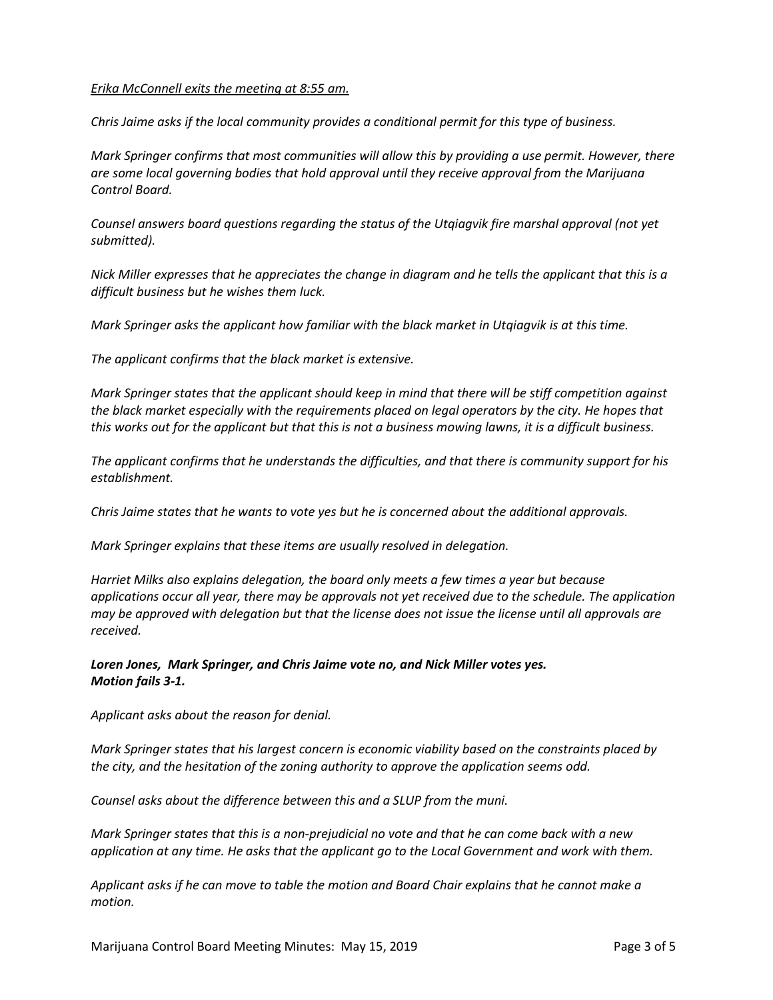#### *Erika McConnell exits the meeting at 8:55 am.*

*Chris Jaime asks if the local community provides a conditional permit for this type of business.*

*Mark Springer confirms that most communities will allow this by providing a use permit. However, there are some local governing bodies that hold approval until they receive approval from the Marijuana Control Board.* 

*Counsel answers board questions regarding the status of the Utqiagvik fire marshal approval (not yet submitted).* 

*Nick Miller expresses that he appreciates the change in diagram and he tells the applicant that this is a difficult business but he wishes them luck.* 

*Mark Springer asks the applicant how familiar with the black market in Utqiagvik is at this time.*

*The applicant confirms that the black market is extensive.*

*Mark Springer states that the applicant should keep in mind that there will be stiff competition against the black market especially with the requirements placed on legal operators by the city. He hopes that this works out for the applicant but that this is not a business mowing lawns, it is a difficult business.* 

*The applicant confirms that he understands the difficulties, and that there is community support for his establishment.*

*Chris Jaime states that he wants to vote yes but he is concerned about the additional approvals.* 

*Mark Springer explains that these items are usually resolved in delegation.* 

*Harriet Milks also explains delegation, the board only meets a few times a year but because applications occur all year, there may be approvals not yet received due to the schedule. The application may be approved with delegation but that the license does not issue the license until all approvals are received.* 

*Loren Jones, Mark Springer, and Chris Jaime vote no, and Nick Miller votes yes. Motion fails 3-1.*

*Applicant asks about the reason for denial.* 

*Mark Springer states that his largest concern is economic viability based on the constraints placed by the city, and the hesitation of the zoning authority to approve the application seems odd.* 

*Counsel asks about the difference between this and a SLUP from the muni.*

*Mark Springer states that this is a non-prejudicial no vote and that he can come back with a new application at any time. He asks that the applicant go to the Local Government and work with them.*

*Applicant asks if he can move to table the motion and Board Chair explains that he cannot make a motion.*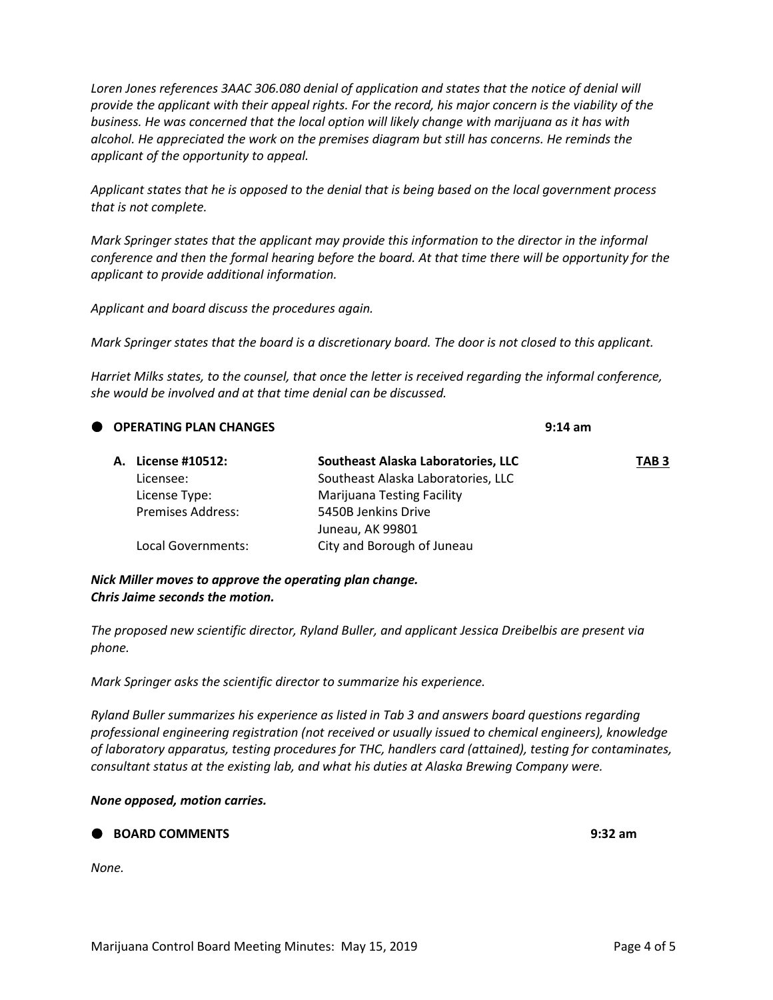*Loren Jones references 3AAC 306.080 denial of application and states that the notice of denial will provide the applicant with their appeal rights. For the record, his major concern is the viability of the business. He was concerned that the local option will likely change with marijuana as it has with alcohol. He appreciated the work on the premises diagram but still has concerns. He reminds the applicant of the opportunity to appeal.* 

*Applicant states that he is opposed to the denial that is being based on the local government process that is not complete.*

*Mark Springer states that the applicant may provide this information to the director in the informal conference and then the formal hearing before the board. At that time there will be opportunity for the applicant to provide additional information.* 

*Applicant and board discuss the procedures again.*

*Mark Springer states that the board is a discretionary board. The door is not closed to this applicant.*

*Harriet Milks states, to the counsel, that once the letter is received regarding the informal conference, she would be involved and at that time denial can be discussed.* 

| OPERATING PLAN CHANGES |                          | $9:14 \text{ am}$                  |                  |
|------------------------|--------------------------|------------------------------------|------------------|
|                        |                          | Southeast Alaska Laboratories, LLC | TAB <sub>3</sub> |
|                        | Licensee:                | Southeast Alaska Laboratories, LLC |                  |
|                        | License Type:            | <b>Marijuana Testing Facility</b>  |                  |
|                        | <b>Premises Address:</b> | 5450B Jenkins Drive                |                  |
|                        |                          | Juneau, AK 99801                   |                  |
|                        | Local Governments:       | City and Borough of Juneau         |                  |
|                        |                          | A. License #10512:                 |                  |

*Nick Miller moves to approve the operating plan change. Chris Jaime seconds the motion.*

*The proposed new scientific director, Ryland Buller, and applicant Jessica Dreibelbis are present via phone.* 

*Mark Springer asks the scientific director to summarize his experience.*

*Ryland Buller summarizes his experience as listed in Tab 3 and answers board questions regarding professional engineering registration (not received or usually issued to chemical engineers), knowledge of laboratory apparatus, testing procedures for THC, handlers card (attained), testing for contaminates, consultant status at the existing lab, and what his duties at Alaska Brewing Company were.*

*None opposed, motion carries.* 

**BOARD COMMENTS 9:32 am**

*None.*

Marijuana Control Board Meeting Minutes: May 15, 2019 **Page 4 of 5** Page 4 of 5